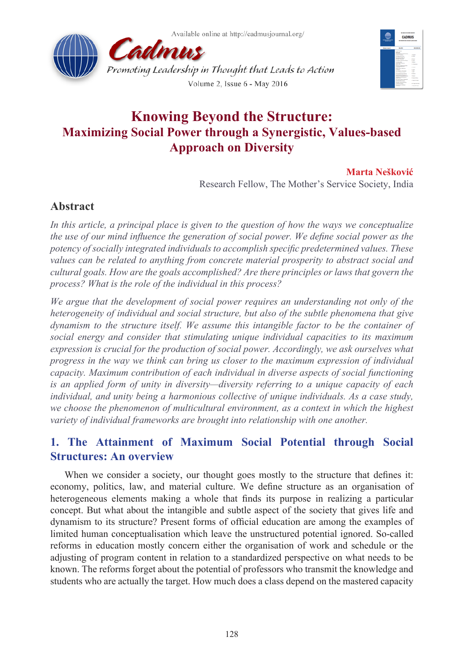



# **Knowing Beyond the Structure: Maximizing Social Power through a Synergistic, Values-based Approach on Diversity**

### **Marta Nešković**

Research Fellow, The Mother's Service Society, India

## **Abstract**

In this article, a principal place is given to the question of how the ways we conceptualize *the use of our mind influence the generation of social power. We define social power as the potency of socially integrated individuals to accomplish specific predetermined values. These values can be related to anything from concrete material prosperity to abstract social and cultural goals. How are the goals accomplished? Are there principles or laws that govern the process? What is the role of the individual in this process?* 

*We argue that the development of social power requires an understanding not only of the heterogeneity of individual and social structure, but also of the subtle phenomena that give dynamism to the structure itself. We assume this intangible factor to be the container of social energy and consider that stimulating unique individual capacities to its maximum expression is crucial for the production of social power. Accordingly, we ask ourselves what progress in the way we think can bring us closer to the maximum expression of individual capacity. Maximum contribution of each individual in diverse aspects of social functioning is an applied form of unity in diversity—diversity referring to a unique capacity of each individual, and unity being a harmonious collective of unique individuals. As a case study, we choose the phenomenon of multicultural environment, as a context in which the highest variety of individual frameworks are brought into relationship with one another.*

# **1. The Attainment of Maximum Social Potential through Social Structures: An overview**

When we consider a society, our thought goes mostly to the structure that defines it: economy, politics, law, and material culture. We define structure as an organisation of heterogeneous elements making a whole that finds its purpose in realizing a particular concept. But what about the intangible and subtle aspect of the society that gives life and dynamism to its structure? Present forms of official education are among the examples of limited human conceptualisation which leave the unstructured potential ignored. So-called reforms in education mostly concern either the organisation of work and schedule or the adjusting of program content in relation to a standardized perspective on what needs to be known. The reforms forget about the potential of professors who transmit the knowledge and students who are actually the target. How much does a class depend on the mastered capacity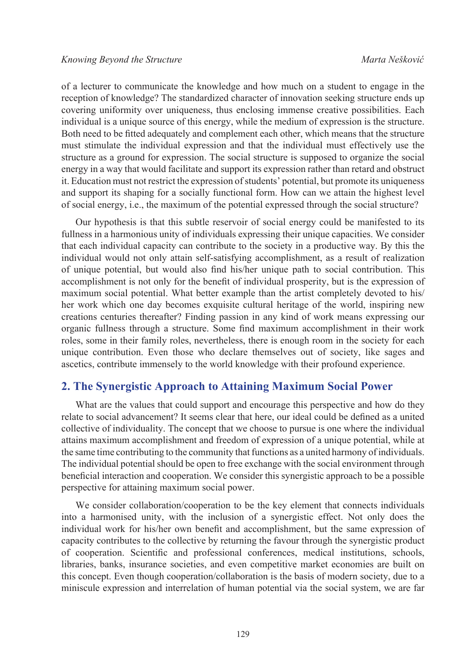of a lecturer to communicate the knowledge and how much on a student to engage in the reception of knowledge? The standardized character of innovation seeking structure ends up covering uniformity over uniqueness, thus enclosing immense creative possibilities. Each individual is a unique source of this energy, while the medium of expression is the structure. Both need to be fitted adequately and complement each other, which means that the structure must stimulate the individual expression and that the individual must effectively use the structure as a ground for expression. The social structure is supposed to organize the social energy in a way that would facilitate and support its expression rather than retard and obstruct it. Education must not restrict the expression of students' potential, but promote its uniqueness and support its shaping for a socially functional form. How can we attain the highest level of social energy, i.e., the maximum of the potential expressed through the social structure?

Our hypothesis is that this subtle reservoir of social energy could be manifested to its fullness in a harmonious unity of individuals expressing their unique capacities. We consider that each individual capacity can contribute to the society in a productive way. By this the individual would not only attain self-satisfying accomplishment, as a result of realization of unique potential, but would also find his/her unique path to social contribution. This accomplishment is not only for the benefit of individual prosperity, but is the expression of maximum social potential. What better example than the artist completely devoted to his/ her work which one day becomes exquisite cultural heritage of the world, inspiring new creations centuries thereafter? Finding passion in any kind of work means expressing our organic fullness through a structure. Some find maximum accomplishment in their work roles, some in their family roles, nevertheless, there is enough room in the society for each unique contribution. Even those who declare themselves out of society, like sages and ascetics, contribute immensely to the world knowledge with their profound experience.

### **2. The Synergistic Approach to Attaining Maximum Social Power**

What are the values that could support and encourage this perspective and how do they relate to social advancement? It seems clear that here, our ideal could be defined as a united collective of individuality. The concept that we choose to pursue is one where the individual attains maximum accomplishment and freedom of expression of a unique potential, while at the same time contributing to the community that functions as a united harmony of individuals. The individual potential should be open to free exchange with the social environment through beneficial interaction and cooperation. We consider this synergistic approach to be a possible perspective for attaining maximum social power.

We consider collaboration/cooperation to be the key element that connects individuals into a harmonised unity, with the inclusion of a synergistic effect. Not only does the individual work for his/her own benefit and accomplishment, but the same expression of capacity contributes to the collective by returning the favour through the synergistic product of cooperation. Scientific and professional conferences, medical institutions, schools, libraries, banks, insurance societies, and even competitive market economies are built on this concept. Even though cooperation/collaboration is the basis of modern society, due to a miniscule expression and interrelation of human potential via the social system, we are far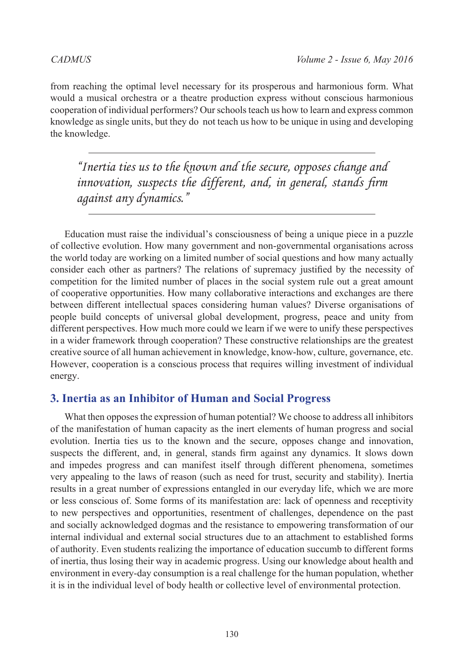from reaching the optimal level necessary for its prosperous and harmonious form. What would a musical orchestra or a theatre production express without conscious harmonious cooperation of individual performers? Our schools teach us how to learn and express common knowledge as single units, but they do not teach us how to be unique in using and developing the knowledge.

*"Inertia ties us to the known and the secure, opposes change and innovation, suspects the different, and, in general, stands firm against any dynamics."*

Education must raise the individual's consciousness of being a unique piece in a puzzle of collective evolution. How many government and non-governmental organisations across the world today are working on a limited number of social questions and how many actually consider each other as partners? The relations of supremacy justified by the necessity of competition for the limited number of places in the social system rule out a great amount of cooperative opportunities. How many collaborative interactions and exchanges are there between different intellectual spaces considering human values? Diverse organisations of people build concepts of universal global development, progress, peace and unity from different perspectives. How much more could we learn if we were to unify these perspectives in a wider framework through cooperation? These constructive relationships are the greatest creative source of all human achievement in knowledge, know-how, culture, governance, etc. However, cooperation is a conscious process that requires willing investment of individual energy.

### **3. Inertia as an Inhibitor of Human and Social Progress**

What then opposes the expression of human potential? We choose to address all inhibitors of the manifestation of human capacity as the inert elements of human progress and social evolution. Inertia ties us to the known and the secure, opposes change and innovation, suspects the different, and, in general, stands firm against any dynamics. It slows down and impedes progress and can manifest itself through different phenomena, sometimes very appealing to the laws of reason (such as need for trust, security and stability). Inertia results in a great number of expressions entangled in our everyday life, which we are more or less conscious of. Some forms of its manifestation are: lack of openness and receptivity to new perspectives and opportunities, resentment of challenges, dependence on the past and socially acknowledged dogmas and the resistance to empowering transformation of our internal individual and external social structures due to an attachment to established forms of authority. Even students realizing the importance of education succumb to different forms of inertia, thus losing their way in academic progress. Using our knowledge about health and environment in every-day consumption is a real challenge for the human population, whether it is in the individual level of body health or collective level of environmental protection.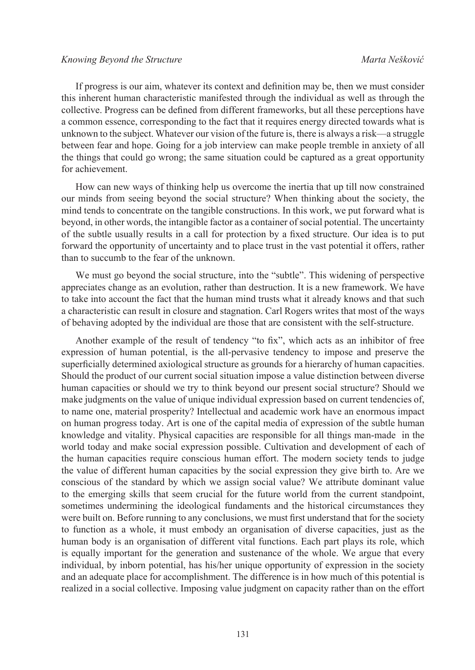If progress is our aim, whatever its context and definition may be, then we must consider this inherent human characteristic manifested through the individual as well as through the collective. Progress can be defined from different frameworks, but all these perceptions have a common essence, corresponding to the fact that it requires energy directed towards what is unknown to the subject. Whatever our vision of the future is, there is always a risk—a struggle between fear and hope. Going for a job interview can make people tremble in anxiety of all the things that could go wrong; the same situation could be captured as a great opportunity for achievement.

How can new ways of thinking help us overcome the inertia that up till now constrained our minds from seeing beyond the social structure? When thinking about the society, the mind tends to concentrate on the tangible constructions. In this work, we put forward what is beyond, in other words, the intangible factor as a container of social potential. The uncertainty of the subtle usually results in a call for protection by a fixed structure. Our idea is to put forward the opportunity of uncertainty and to place trust in the vast potential it offers, rather than to succumb to the fear of the unknown.

We must go beyond the social structure, into the "subtle". This widening of perspective appreciates change as an evolution, rather than destruction. It is a new framework. We have to take into account the fact that the human mind trusts what it already knows and that such a characteristic can result in closure and stagnation. Carl Rogers writes that most of the ways of behaving adopted by the individual are those that are consistent with the self-structure.

Another example of the result of tendency "to fix", which acts as an inhibitor of free expression of human potential, is the all-pervasive tendency to impose and preserve the superficially determined axiological structure as grounds for a hierarchy of human capacities. Should the product of our current social situation impose a value distinction between diverse human capacities or should we try to think beyond our present social structure? Should we make judgments on the value of unique individual expression based on current tendencies of, to name one, material prosperity? Intellectual and academic work have an enormous impact on human progress today. Art is one of the capital media of expression of the subtle human knowledge and vitality. Physical capacities are responsible for all things man-made in the world today and make social expression possible. Cultivation and development of each of the human capacities require conscious human effort. The modern society tends to judge the value of different human capacities by the social expression they give birth to. Are we conscious of the standard by which we assign social value? We attribute dominant value to the emerging skills that seem crucial for the future world from the current standpoint, sometimes undermining the ideological fundaments and the historical circumstances they were built on. Before running to any conclusions, we must first understand that for the society to function as a whole, it must embody an organisation of diverse capacities, just as the human body is an organisation of different vital functions. Each part plays its role, which is equally important for the generation and sustenance of the whole. We argue that every individual, by inborn potential, has his/her unique opportunity of expression in the society and an adequate place for accomplishment. The difference is in how much of this potential is realized in a social collective. Imposing value judgment on capacity rather than on the effort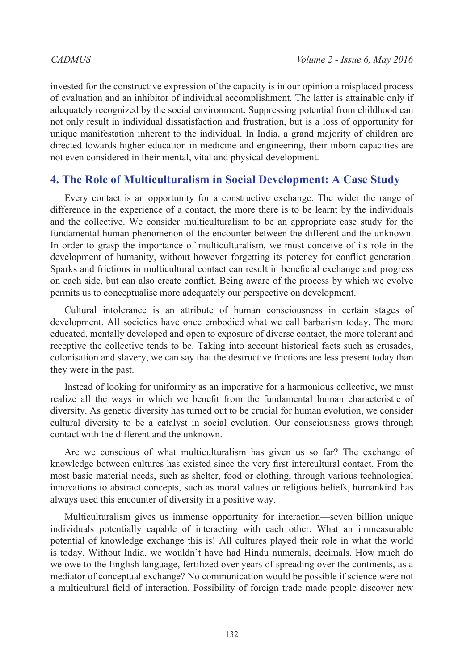invested for the constructive expression of the capacity is in our opinion a misplaced process of evaluation and an inhibitor of individual accomplishment. The latter is attainable only if adequately recognized by the social environment. Suppressing potential from childhood can not only result in individual dissatisfaction and frustration, but is a loss of opportunity for unique manifestation inherent to the individual. In India, a grand majority of children are directed towards higher education in medicine and engineering, their inborn capacities are not even considered in their mental, vital and physical development.

### **4. The Role of Multiculturalism in Social Development: A Case Study**

Every contact is an opportunity for a constructive exchange. The wider the range of difference in the experience of a contact, the more there is to be learnt by the individuals and the collective. We consider multiculturalism to be an appropriate case study for the fundamental human phenomenon of the encounter between the different and the unknown. In order to grasp the importance of multiculturalism, we must conceive of its role in the development of humanity, without however forgetting its potency for conflict generation. Sparks and frictions in multicultural contact can result in beneficial exchange and progress on each side, but can also create conflict. Being aware of the process by which we evolve permits us to conceptualise more adequately our perspective on development.

Cultural intolerance is an attribute of human consciousness in certain stages of development. All societies have once embodied what we call barbarism today. The more educated, mentally developed and open to exposure of diverse contact, the more tolerant and receptive the collective tends to be. Taking into account historical facts such as crusades, colonisation and slavery, we can say that the destructive frictions are less present today than they were in the past.

Instead of looking for uniformity as an imperative for a harmonious collective, we must realize all the ways in which we benefit from the fundamental human characteristic of diversity. As genetic diversity has turned out to be crucial for human evolution, we consider cultural diversity to be a catalyst in social evolution. Our consciousness grows through contact with the different and the unknown.

Are we conscious of what multiculturalism has given us so far? The exchange of knowledge between cultures has existed since the very first intercultural contact. From the most basic material needs, such as shelter, food or clothing, through various technological innovations to abstract concepts, such as moral values or religious beliefs, humankind has always used this encounter of diversity in a positive way.

Multiculturalism gives us immense opportunity for interaction—seven billion unique individuals potentially capable of interacting with each other. What an immeasurable potential of knowledge exchange this is! All cultures played their role in what the world is today. Without India, we wouldn't have had Hindu numerals, decimals. How much do we owe to the English language, fertilized over years of spreading over the continents, as a mediator of conceptual exchange? No communication would be possible if science were not a multicultural field of interaction. Possibility of foreign trade made people discover new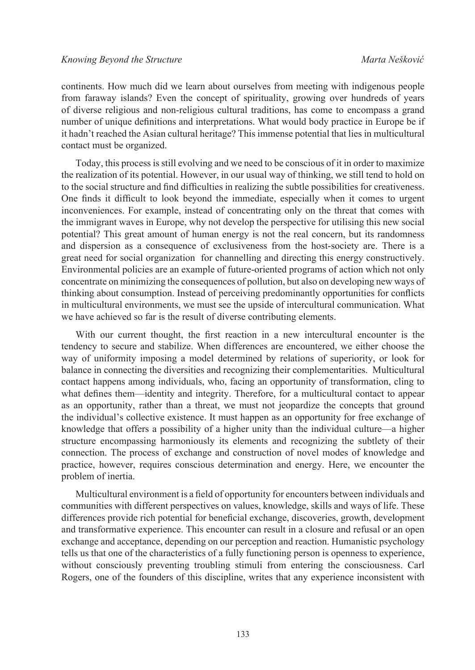continents. How much did we learn about ourselves from meeting with indigenous people from faraway islands? Even the concept of spirituality, growing over hundreds of years of diverse religious and non-religious cultural traditions, has come to encompass a grand number of unique definitions and interpretations. What would body practice in Europe be if it hadn't reached the Asian cultural heritage? This immense potential that lies in multicultural contact must be organized.

Today, this process is still evolving and we need to be conscious of it in order to maximize the realization of its potential. However, in our usual way of thinking, we still tend to hold on to the social structure and find difficulties in realizing the subtle possibilities for creativeness. One finds it difficult to look beyond the immediate, especially when it comes to urgent inconveniences. For example, instead of concentrating only on the threat that comes with the immigrant waves in Europe, why not develop the perspective for utilising this new social potential? This great amount of human energy is not the real concern, but its randomness and dispersion as a consequence of exclusiveness from the host-society are. There is a great need for social organization for channelling and directing this energy constructively. Environmental policies are an example of future-oriented programs of action which not only concentrate on minimizing the consequences of pollution, but also on developing new ways of thinking about consumption. Instead of perceiving predominantly opportunities for conflicts in multicultural environments, we must see the upside of intercultural communication. What we have achieved so far is the result of diverse contributing elements.

With our current thought, the first reaction in a new intercultural encounter is the tendency to secure and stabilize. When differences are encountered, we either choose the way of uniformity imposing a model determined by relations of superiority, or look for balance in connecting the diversities and recognizing their complementarities. Multicultural contact happens among individuals, who, facing an opportunity of transformation, cling to what defines them—identity and integrity. Therefore, for a multicultural contact to appear as an opportunity, rather than a threat, we must not jeopardize the concepts that ground the individual's collective existence. It must happen as an opportunity for free exchange of knowledge that offers a possibility of a higher unity than the individual culture—a higher structure encompassing harmoniously its elements and recognizing the subtlety of their connection. The process of exchange and construction of novel modes of knowledge and practice, however, requires conscious determination and energy. Here, we encounter the problem of inertia.

Multicultural environment is a field of opportunity for encounters between individuals and communities with different perspectives on values, knowledge, skills and ways of life. These differences provide rich potential for beneficial exchange, discoveries, growth, development and transformative experience. This encounter can result in a closure and refusal or an open exchange and acceptance, depending on our perception and reaction. Humanistic psychology tells us that one of the characteristics of a fully functioning person is openness to experience, without consciously preventing troubling stimuli from entering the consciousness. Carl Rogers, one of the founders of this discipline, writes that any experience inconsistent with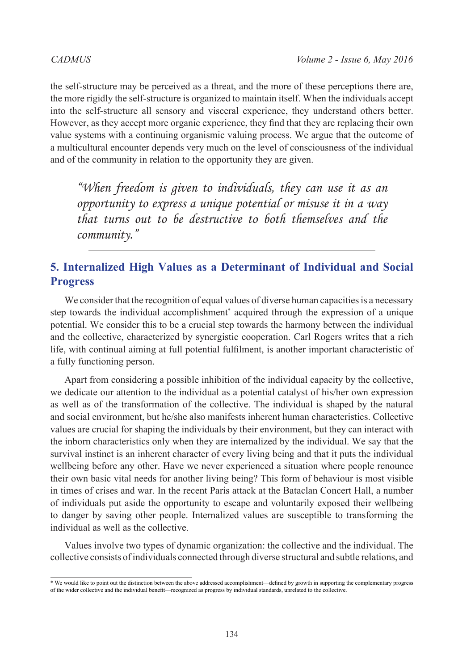the self-structure may be perceived as a threat, and the more of these perceptions there are, the more rigidly the self-structure is organized to maintain itself. When the individuals accept into the self-structure all sensory and visceral experience, they understand others better. However, as they accept more organic experience, they find that they are replacing their own value systems with a continuing organismic valuing process. We argue that the outcome of a multicultural encounter depends very much on the level of consciousness of the individual and of the community in relation to the opportunity they are given.

*"When freedom is given to individuals, they can use it as an opportunity to express a unique potential or misuse it in a way that turns out to be destructive to both themselves and the community."*

# **5. Internalized High Values as a Determinant of Individual and Social Progress**

We consider that the recognition of equal values of diverse human capacities is a necessary step towards the individual accomplishment\* acquired through the expression of a unique potential. We consider this to be a crucial step towards the harmony between the individual and the collective, characterized by synergistic cooperation. Carl Rogers writes that a rich life, with continual aiming at full potential fulfilment, is another important characteristic of a fully functioning person.

Apart from considering a possible inhibition of the individual capacity by the collective, we dedicate our attention to the individual as a potential catalyst of his/her own expression as well as of the transformation of the collective. The individual is shaped by the natural and social environment, but he/she also manifests inherent human characteristics. Collective values are crucial for shaping the individuals by their environment, but they can interact with the inborn characteristics only when they are internalized by the individual. We say that the survival instinct is an inherent character of every living being and that it puts the individual wellbeing before any other. Have we never experienced a situation where people renounce their own basic vital needs for another living being? This form of behaviour is most visible in times of crises and war. In the recent Paris attack at the Bataclan Concert Hall, a number of individuals put aside the opportunity to escape and voluntarily exposed their wellbeing to danger by saving other people. Internalized values are susceptible to transforming the individual as well as the collective.

Values involve two types of dynamic organization: the collective and the individual. The collective consists of individuals connected through diverse structural and subtle relations, and

<sup>\*</sup> We would like to point out the distinction between the above addressed accomplishment—defined by growth in supporting the complementary progress of the wider collective and the individual benefit—recognized as progress by individual standards, unrelated to the collective.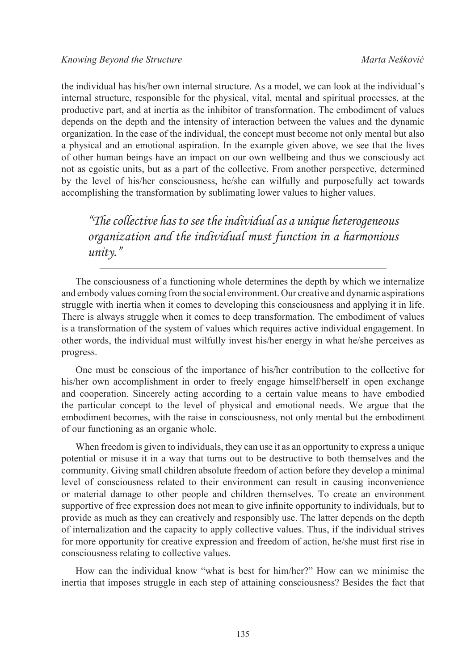the individual has his/her own internal structure. As a model, we can look at the individual's internal structure, responsible for the physical, vital, mental and spiritual processes, at the productive part, and at inertia as the inhibitor of transformation. The embodiment of values depends on the depth and the intensity of interaction between the values and the dynamic organization. In the case of the individual, the concept must become not only mental but also a physical and an emotional aspiration. In the example given above, we see that the lives of other human beings have an impact on our own wellbeing and thus we consciously act not as egoistic units, but as a part of the collective. From another perspective, determined by the level of his/her consciousness, he/she can wilfully and purposefully act towards accomplishing the transformation by sublimating lower values to higher values.

*"The collective has to see the individual as a unique heterogeneous organization and the individual must function in a harmonious unity."*

The consciousness of a functioning whole determines the depth by which we internalize and embody values coming from the social environment. Our creative and dynamic aspirations struggle with inertia when it comes to developing this consciousness and applying it in life. There is always struggle when it comes to deep transformation. The embodiment of values is a transformation of the system of values which requires active individual engagement. In other words, the individual must wilfully invest his/her energy in what he/she perceives as progress.

One must be conscious of the importance of his/her contribution to the collective for his/her own accomplishment in order to freely engage himself/herself in open exchange and cooperation. Sincerely acting according to a certain value means to have embodied the particular concept to the level of physical and emotional needs. We argue that the embodiment becomes, with the raise in consciousness, not only mental but the embodiment of our functioning as an organic whole.

When freedom is given to individuals, they can use it as an opportunity to express a unique potential or misuse it in a way that turns out to be destructive to both themselves and the community. Giving small children absolute freedom of action before they develop a minimal level of consciousness related to their environment can result in causing inconvenience or material damage to other people and children themselves. To create an environment supportive of free expression does not mean to give infinite opportunity to individuals, but to provide as much as they can creatively and responsibly use. The latter depends on the depth of internalization and the capacity to apply collective values. Thus, if the individual strives for more opportunity for creative expression and freedom of action, he/she must first rise in consciousness relating to collective values.

How can the individual know "what is best for him/her?" How can we minimise the inertia that imposes struggle in each step of attaining consciousness? Besides the fact that